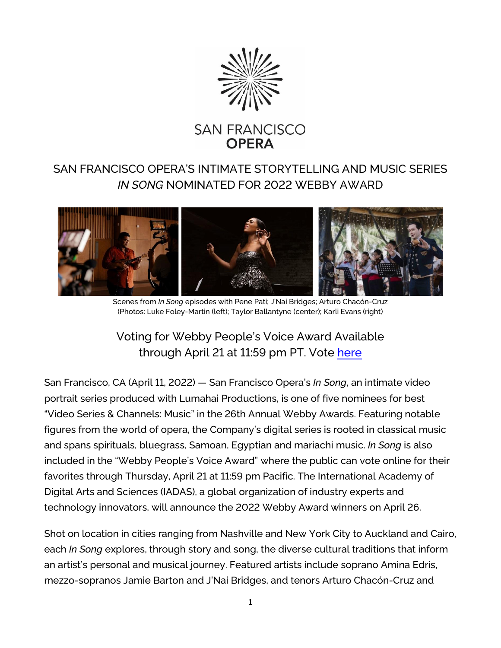

## SAN FRANCISCO OPERA'S INTIMATE STORYTELLING AND MUSIC SERIES *IN SONG* NOMINATED FOR 2022 WEBBY AWARD



Scenes from *In Song* episodes with Pene Pati; J'Nai Bridges; Arturo Chacón-Cruz (Photos: Luke Foley-Martin (left); Taylor Ballantyne (center); Karli Evans (right)

## Voting for Webby People's Voice Award Available through April 21 at 11:59 pm PT. Vote [here](https://vote.webbyawards.com/PublicVoting#/2022/video/video-series-channels/music)

San Francisco, CA (April 11, 2022) — San Francisco Opera's *In Song*, an intimate video portrait series produced with Lumahai Productions, is one of five nominees for best "Video Series & Channels: Music" in the 26th Annual Webby Awards. Featuring notable figures from the world of opera, the Company's digital series is rooted in classical music and spans spirituals, bluegrass, Samoan, Egyptian and mariachi music. *In Song* is also included in the "Webby People's Voice Award" where the public can vote online for their favorites through Thursday, April 21 at 11:59 pm Pacific. The International Academy of Digital Arts and Sciences (IADAS), a global organization of industry experts and technology innovators, will announce the 2022 Webby Award winners on April 26.

Shot on location in cities ranging from Nashville and New York City to Auckland and Cairo, each *In Song* explores, through story and song, the diverse cultural traditions that inform an artist's personal and musical journey. Featured artists include soprano Amina Edris, mezzo-sopranos Jamie Barton and J'Nai Bridges, and tenors Arturo Chacón-Cruz and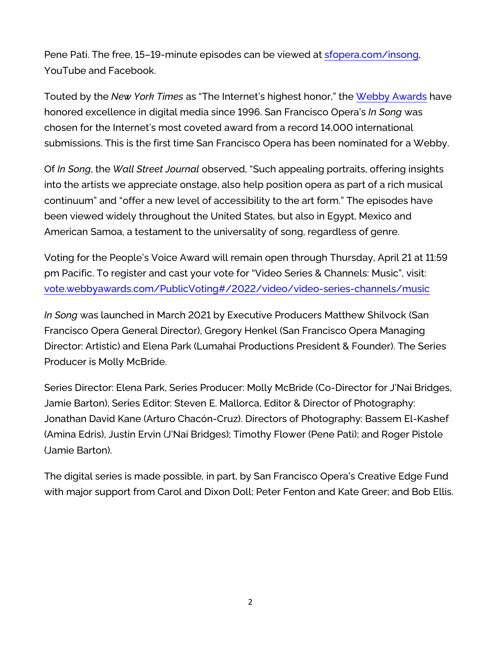Pene Pati. The free, 15–19-minute episodes can be viewed at [sfopera.com/insong,](https://www.sfopera.com/online/in-song/) YouTube and Facebook.

Touted by the *New York Times* as "The Internet's highest honor," the Webby [Awards](https://www.webbyawards.com/) have honored excellence in digital media since 1996. San Francisco Opera's *In Song* was chosen for the Internet's most coveted award from a record 14,000 international submissions. This is the first time San Francisco Opera has been nominated for a Webby.

Of *In Song*, the *Wall Street Journal* observed, "Such appealing portraits, offering insights into the artists we appreciate onstage, also help position opera as part of a rich musical continuum" and "offer a new level of accessibility to the art form." The episodes have been viewed widely throughout the United States, but also in Egypt, Mexico and American Samoa, a testament to the universality of song, regardless of genre.

Voting for the People's Voice Award will remain open through Thursday, April 21 at 11:59 pm Pacific. To register and cast your vote for "Video Series & Channels: Music", visit: [vote.webbyawards.com/PublicVoting#/2022/video/video-series-channels/music](https://vote.webbyawards.com/PublicVoting#/2022/video/video-series-channels/music)

*In Song* was launched in March 2021 by Executive Producers Matthew Shilvock (San Francisco Opera General Director), Gregory Henkel (San Francisco Opera Managing Director: Artistic) and Elena Park (Lumahai Productions President & Founder). The Series Producer is Molly McBride.

Series Director: Elena Park, Series Producer: Molly McBride (Co-Director for J'Nai Bridges, Jamie Barton), Series Editor: Steven E. Mallorca, Editor & Director of Photography: Jonathan David Kane (Arturo Chacón-Cruz). Directors of Photography: Bassem El-Kashef (Amina Edris), Justin Ervin (J'Nai Bridges); Timothy Flower (Pene Pati); and Roger Pistole (Jamie Barton).

The digital series is made possible, in part, by San Francisco Opera's Creative Edge Fund with major support from Carol and Dixon Doll; Peter Fenton and Kate Greer; and Bob Ellis.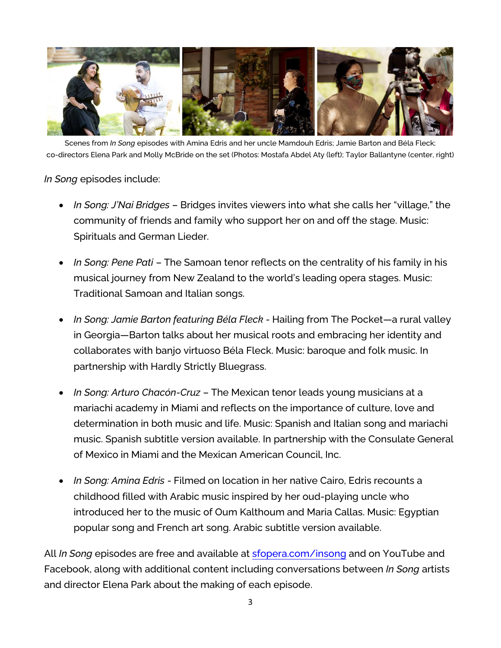

Scenes from *In Song* episodes with Amina Edris and her uncle Mamdouh Edris; Jamie Barton and Béla Fleck; co-directors Elena Park and Molly McBride on the set (Photos: Mostafa Abdel Aty (left); Taylor Ballantyne (center, right)

## *In Song* episodes include:

- *In Song: J'Nai Bridges* Bridges invites viewers into what she calls her "village," the community of friends and family who support her on and off the stage. Music: Spirituals and German Lieder.
- *In Song: Pene Pati* The Samoan tenor reflects on the centrality of his family in his musical journey from New Zealand to the world's leading opera stages. Music: Traditional Samoan and Italian songs.
- *In Song: Jamie Barton featuring Béla Fleck -* Hailing from The Pocket—a rural valley in Georgia—Barton talks about her musical roots and embracing her identity and collaborates with banjo virtuoso Béla Fleck. Music: baroque and folk music. In partnership with Hardly Strictly Bluegrass.
- *In Song: Arturo Chacón-Cruz*  The Mexican tenor leads young musicians at a mariachi academy in Miami and reflects on the importance of culture, love and determination in both music and life. Music: Spanish and Italian song and mariachi music. Spanish subtitle version available. In partnership with the Consulate General of Mexico in Miami and the Mexican American Council, Inc.
- *In Song: Amina Edris* Filmed on location in her native Cairo, Edris recounts a childhood filled with Arabic music inspired by her oud-playing uncle who introduced her to the music of Oum Kalthoum and Maria Callas. Music: Egyptian popular song and French art song. Arabic subtitle version available.

All *In Song* episodes are free and available at [sfopera.com/insong](https://www.sfopera.com/insong) and on YouTube and Facebook, along with additional content including conversations between *In Song* artists and director Elena Park about the making of each episode.